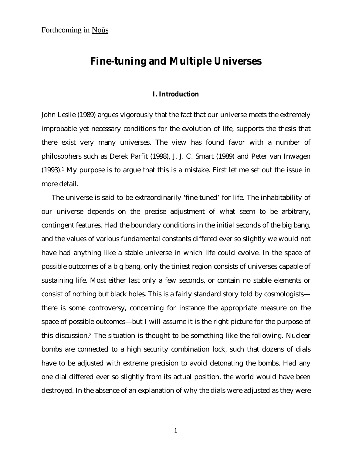# **Fine-tuning and Multiple Universes**

#### **I. Introduction**

John Leslie (1989) argues vigorously that the fact that our universe meets the extremely improbable yet necessary conditions for the evolution of life, supports the thesis that there exist very many universes. The view has found favor with a number of philosophers such as Derek Parfit (1998), J. J. C. Smart (1989) and Peter van Inwagen (1993).<sup>1</sup> My purpose is to argue that this is a mistake. First let me set out the issue in more detail.

The universe is said to be extraordinarily 'fine-tuned' for life. The inhabitability of our universe depends on the precise adjustment of what seem to be arbitrary, contingent features. Had the boundary conditions in the initial seconds of the big bang, and the values of various fundamental constants differed ever so slightly we would not have had anything like a stable universe in which life could evolve. In the space of possible outcomes of a big bang, only the tiniest region consists of universes capable of sustaining life. Most either last only a few seconds, or contain no stable elements or consist of nothing but black holes. This is a fairly standard story told by cosmologists there is some controversy, concerning for instance the appropriate measure on the space of possible outcomes—but I will assume it is the right picture for the purpose of this discussion.<sup>2</sup> The situation is thought to be something like the following. Nuclear bombs are connected to a high security combination lock, such that dozens of dials have to be adjusted with extreme precision to avoid detonating the bombs. Had any one dial differed ever so slightly from its actual position, the world would have been destroyed. In the absence of an explanation of why the dials were adjusted as they were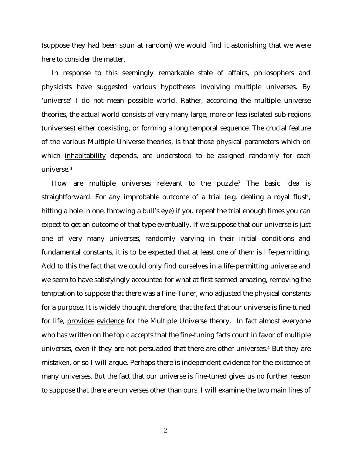(suppose they had been spun at random) we would find it astonishing that we were here to consider the matter.

In response to this seemingly remarkable state of affairs, philosophers and physicists have suggested various hypotheses involving multiple universes. By 'universe' I do not mean possible world. Rather, according the multiple universe theories, the actual world consists of very many large, more or less isolated sub-regions (universes) either coexisting, or forming a long temporal sequence. The crucial feature of the various Multiple Universe theories, is that those physical parameters which on which inhabitability depends, are understood to be assigned randomly for each universe.<sup>3</sup>

How are multiple universes relevant to the puzzle? The basic idea is straightforward. For any improbable outcome of a trial (e.g. dealing a royal flush, hitting a hole in one, throwing a bull's eye) if you repeat the trial enough times you can expect to get an outcome of that type eventually. If we suppose that our universe is just one of very many universes, randomly varying in their initial conditions and fundamental constants, it is to be expected that at least one of them is life-permitting. Add to this the fact that we could only find ourselves in a life-permitting universe and we seem to have satisfyingly accounted for what at first seemed amazing, removing the temptation to suppose that there was a Fine-Tuner, who adjusted the physical constants for a purpose. It is widely thought therefore, that the fact that our universe is fine-tuned for life, provides evidence for the Multiple Universe theory. In fact almost everyone who has written on the topic accepts that the fine-tuning facts count in favor of multiple universes, even if they are not persuaded that there are other universes.<sup>4</sup> But they are mistaken, or so I will argue. Perhaps there is independent evidence for the existence of many universes. But the fact that our universe is fine-tuned gives us no further reason to suppose that there are universes other than ours. I will examine the two main lines of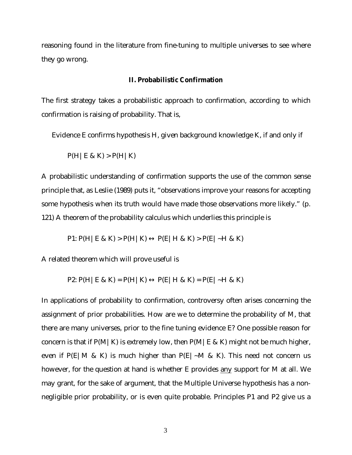reasoning found in the literature from fine-tuning to multiple universes to see where they go wrong.

## **II. Probabilistic Confirmation**

The first strategy takes a probabilistic approach to confirmation, according to which confirmation is raising of probability. That is,

Evidence E confirms hypothesis H, given background knowledge K, if and only if

 $P(H|E \& K) > P(H|K)$ 

A probabilistic understanding of confirmation supports the use of the common sense principle that, as Leslie (1989) puts it, "observations improve your reasons for accepting some hypothesis when its truth would have made those observations more likely." (p. 121) A theorem of the probability calculus which underlies this principle is

 $P1: P(H | E & K) > P(H | K) \leftrightarrow P(E | H & K) > P(E | \neg H & K)$ 

A related theorem which will prove useful is

 $P2: P(H | E & K) = P(H | K) \leftrightarrow P(E | H & K) = P(E | \neg H & K)$ 

In applications of probability to confirmation, controversy often arises concerning the assignment of prior probabilities. How are we to determine the probability of M, that there are many universes, prior to the fine tuning evidence E? One possible reason for concern is that if  $P(M|K)$  is extremely low, then  $P(M|E & K)$  might not be much higher, even if  $P(E|M \& K)$  is much higher than  $P(E|\sim M \& K)$ . This need not concern us however, for the question at hand is whether E provides any support for M at all. We may grant, for the sake of argument, that the Multiple Universe hypothesis has a nonnegligible prior probability, or is even quite probable. Principles P1 and P2 give us a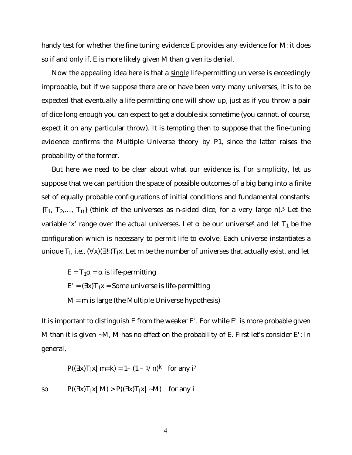handy test for whether the fine tuning evidence E provides any evidence for M: it does so if and only if, E is more likely given M than given its denial.

Now the appealing idea here is that a single life-permitting universe is exceedingly improbable, but if we suppose there are or have been very many universes, it is to be expected that eventually a life-permitting one will show up, just as if you throw a pair of dice long enough you can expect to get a double six sometime (you cannot, of course, expect it on any particular throw). It is tempting then to suppose that the fine-tuning evidence confirms the Multiple Universe theory by P1, since the latter raises the probability of the former.

But here we need to be clear about what our evidence is. For simplicity, let us suppose that we can partition the space of possible outcomes of a big bang into a finite set of equally probable configurations of initial conditions and fundamental constants:  ${T_1, T_2,..., T_n}$  (think of the universes as n-sided dice, for a very large n).<sup>5</sup> Let the variable 'x' range over the actual universes. Let  $\alpha$  be our universe<sup>6</sup> and let T<sub>1</sub> be the configuration which is necessary to permit life to evolve. Each universe instantiates a unique T<sub>i</sub>, i.e., (∀x)(∃!i)T<sub>i</sub>x. Let <u>m</u> be the number of universes that actually exist, and let

 $E = T_1 \alpha = \alpha$  is life-permitting  $E' = (\exists x)T_1x = Some$  universe is life-permitting  $M = m$  is large (the Multiple Universe hypothesis)

It is important to distinguish E from the weaker E*'*. For while E*'* is more probable given M than it is given ~M, M has no effect on the probability of E. First let's consider E*'*: In general,

$$
P((\exists x)T_i x \mid m=k) = 1 - (1 - 1/n)^k
$$
 for any  $i^7$ 

so  $P((\exists x)T_ix \mid M) > P((\exists x)T_ix \mid \neg M)$  for any i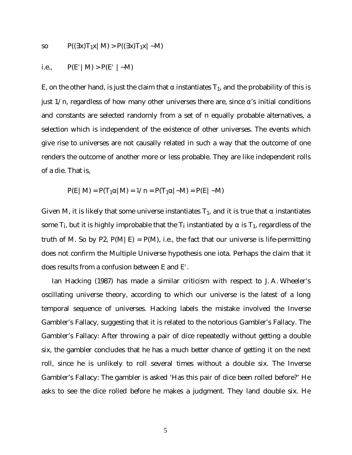so 
$$
P((\exists x)T_1x \mid M) > P((\exists x)T_1x \mid \sim M)
$$

i.e., 
$$
P(E'|M) > P(E'|~|~M)
$$

E, on the other hand, is just the claim that  $\alpha$  instantiates T<sub>1</sub>, and the probability of this is just  $1/n$ , regardless of how many other universes there are, since  $\alpha$ 's initial conditions and constants are selected randomly from a set of n equally probable alternatives, a selection which is independent of the existence of other universes. The events which give rise to universes are not causally related in such a way that the outcome of one renders the outcome of another more or less probable. They are like independent rolls of a die. That is,

$$
P(E \mid M) = P(T_1 \alpha \mid M) = 1/n = P(T_1 \alpha \mid \neg M) = P(E \mid \neg M)
$$

Given M, it is likely that some universe instantiates  $T_1$ , and it is true that  $\alpha$  instantiates some T<sub>i</sub>, but it is highly improbable that the T<sub>i</sub> instantiated by  $\alpha$  is T<sub>1</sub>, regardless of the truth of M. So by P2,  $P(M|E) = P(M)$ , i.e., the fact that our universe is life-permitting does not confirm the Multiple Universe hypothesis one iota. Perhaps the claim that it does results from a confusion between E and E*'*.

Ian Hacking (1987) has made a similar criticism with respect to J. A. Wheeler's oscillating universe theory, according to which our universe is the latest of a long temporal sequence of universes. Hacking labels the mistake involved the Inverse Gambler's Fallacy, suggesting that it is related to the notorious Gambler's Fallacy. The Gambler's Fallacy: After throwing a pair of dice repeatedly without getting a double six, the gambler concludes that he has a much better chance of getting it on the next roll, since he is unlikely to roll several times without a double six. The Inverse Gambler's Fallacy: The gambler is asked 'Has this pair of dice been rolled before?' He asks to see the dice rolled before he makes a judgment. They land double six. He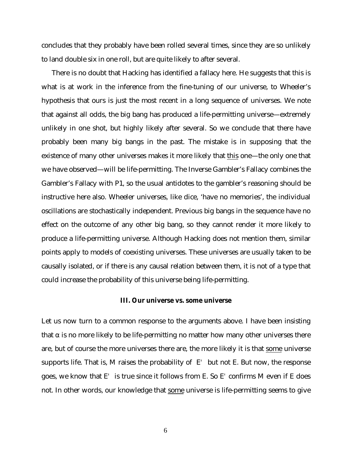concludes that they probably have been rolled several times, since they are so unlikely to land double six in one roll, but are quite likely to after several.

There is no doubt that Hacking has identified a fallacy here. He suggests that this is what is at work in the inference from the fine-tuning of our universe, to Wheeler's hypothesis that ours is just the most recent in a long sequence of universes. We note that against all odds, the big bang has produced a life-permitting universe—extremely unlikely in one shot, but highly likely after several. So we conclude that there have probably been many big bangs in the past. The mistake is in supposing that the existence of many other universes makes it more likely that this one—the only one that we have observed—will be life-permitting. The Inverse Gambler's Fallacy combines the Gambler's Fallacy with P1, so the usual antidotes to the gambler's reasoning should be instructive here also. Wheeler universes, like dice, 'have no memories', the individual oscillations are stochastically independent. Previous big bangs in the sequence have no effect on the outcome of any other big bang, so they cannot render it more likely to produce a life-permitting universe. Although Hacking does not mention them, similar points apply to models of coexisting universes. These universes are usually taken to be causally isolated, or if there is any causal relation between them, it is not of a type that could increase the probability of this universe being life-permitting.

## **III. Our universe vs. some universe**

Let us now turn to a common response to the arguments above. I have been insisting that  $\alpha$  is no more likely to be life-permitting no matter how many other universes there are, but of course the more universes there are, the more likely it is that some universe supports life. That is, M raises the probability of E*'* but not E. But now, the response goes, we know that E*'* is true since it follows from E. So E*'* confirms M even if E does not. In other words, our knowledge that some universe is life-permitting seems to give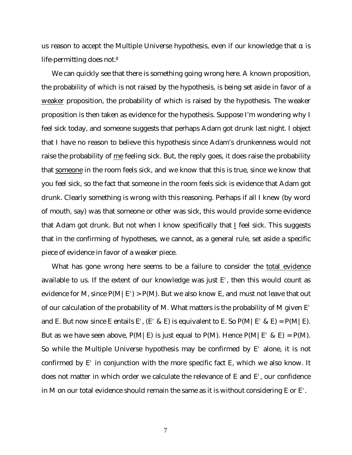us reason to accept the Multiple Universe hypothesis, even if our knowledge that  $\alpha$  is life-permitting does not.<sup>8</sup>

We can quickly see that there is something going wrong here. A known proposition, the probability of which is not raised by the hypothesis, is being set aside in favor of a weaker proposition, the probability of which is raised by the hypothesis. The weaker proposition is then taken as evidence for the hypothesis. Suppose I'm wondering why I feel sick today, and someone suggests that perhaps Adam got drunk last night. I object that I have no reason to believe this hypothesis since Adam's drunkenness would not raise the probability of me feeling sick. But, the reply goes, it does raise the probability that someone in the room feels sick, and we know that this is true, since we know that you feel sick, so the fact that someone in the room feels sick is evidence that Adam got drunk. Clearly something is wrong with this reasoning. Perhaps if all I knew (by word of mouth, say) was that someone or other was sick, this would provide some evidence that Adam got drunk. But not when I know specifically that I feel sick. This suggests that in the confirming of hypotheses, we cannot, as a general rule, set aside a specific piece of evidence in favor of a weaker piece.

What has gone wrong here seems to be a failure to consider the total evidence available to us. If the extent of our knowledge was just E*'*, then this would count as evidence for M, since  $P(M|E) > P(M)$ . But we also know E, and must not leave that out of our calculation of the probability of M. What matters is the probability of M given E*'* and E. But now since E entails E',  $(E' \& E)$  is equivalent to E. So  $P(M | E' \& E) = P(M | E)$ . But as we have seen above,  $P(M|E)$  is just equal to  $P(M)$ . Hence  $P(M|E' \& E) = P(M)$ . So while the Multiple Universe hypothesis may be confirmed by E*'* alone, it is not confirmed by E*'* in conjunction with the more specific fact E, which we also know. It does not matter in which order we calculate the relevance of E and E*'*, our confidence in M on our total evidence should remain the same as it is without considering E or E*'*.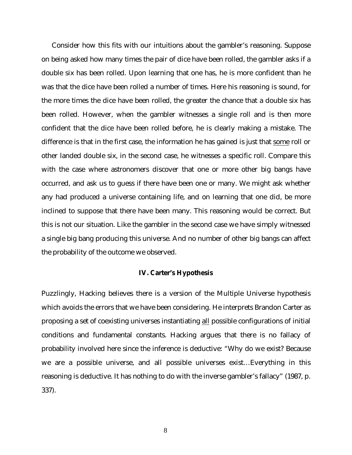Consider how this fits with our intuitions about the gambler's reasoning. Suppose on being asked how many times the pair of dice have been rolled, the gambler asks if a double six has been rolled. Upon learning that one has, he is more confident than he was that the dice have been rolled a number of times. Here his reasoning is sound, for the more times the dice have been rolled, the greater the chance that a double six has been rolled. However, when the gambler witnesses a single roll and is then more confident that the dice have been rolled before, he is clearly making a mistake. The difference is that in the first case, the information he has gained is just that some roll or other landed double six, in the second case, he witnesses a specific roll. Compare this with the case where astronomers discover that one or more other big bangs have occurred, and ask us to guess if there have been one or many. We might ask whether any had produced a universe containing life, and on learning that one did, be more inclined to suppose that there have been many. This reasoning would be correct. But this is not our situation. Like the gambler in the second case we have simply witnessed a single big bang producing this universe. And no number of other big bangs can affect the probability of the outcome we observed.

#### **IV. Carter's Hypothesis**

Puzzlingly, Hacking believes there is a version of the Multiple Universe hypothesis which avoids the errors that we have been considering. He interprets Brandon Carter as proposing a set of coexisting universes instantiating all possible configurations of initial conditions and fundamental constants. Hacking argues that there is no fallacy of probability involved here since the inference is deductive: "Why do we exist? Because we are a possible universe, and all possible universes exist…Everything in this reasoning is deductive. It has nothing to do with the inverse gambler's fallacy" (1987, p. 337).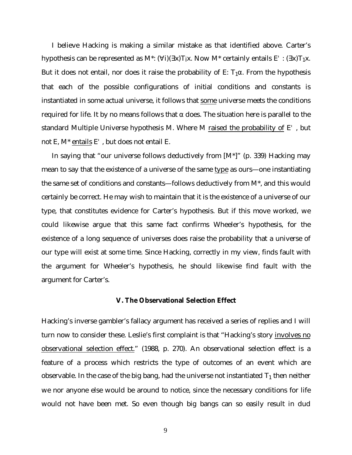I believe Hacking is making a similar mistake as that identified above. Carter's hypothesis can be represented as M<sup>\*</sup>:  $(\forall i)(\exists x)T_i x$ . Now M<sup>\*</sup> certainly entails E':  $(\exists x)T_1x$ . But it does not entail, nor does it raise the probability of E:  $T_1\alpha$ . From the hypothesis that each of the possible configurations of initial conditions and constants is instantiated in some actual universe, it follows that some universe meets the conditions required for life. It by no means follows that  $α$  does. The situation here is parallel to the standard Multiple Universe hypothesis M. Where M raised the probability of E*'* , but not E, M\* entails E*'* , but does not entail E.

In saying that "our universe follows deductively from  $[M^*]$ " (p. 339) Hacking may mean to say that the existence of a universe of the same type as ours—one instantiating the same set of conditions and constants—follows deductively from M\*, and this would certainly be correct. He may wish to maintain that it is the existence of a universe of our type, that constitutes evidence for Carter's hypothesis. But if this move worked, we could likewise argue that this same fact confirms Wheeler's hypothesis, for the existence of a long sequence of universes does raise the probability that a universe of our type will exist at some time. Since Hacking, correctly in my view, finds fault with the argument for Wheeler's hypothesis, he should likewise find fault with the argument for Carter's.

#### **V. The Observational Selection Effect**

Hacking's inverse gambler's fallacy argument has received a series of replies and I will turn now to consider these. Leslie's first complaint is that "Hacking's story involves no observational selection effect." (1988, p. 270). An observational selection effect is a feature of a process which restricts the type of outcomes of an event which are observable. In the case of the big bang, had the universe not instantiated  $T_1$  then neither we nor anyone else would be around to notice, since the necessary conditions for life would not have been met. So even though big bangs can so easily result in dud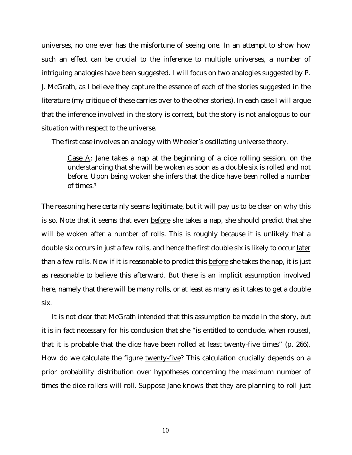universes, no one ever has the misfortune of seeing one. In an attempt to show how such an effect can be crucial to the inference to multiple universes, a number of intriguing analogies have been suggested. I will focus on two analogies suggested by P. J. McGrath, as I believe they capture the essence of each of the stories suggested in the literature (my critique of these carries over to the other stories). In each case I will argue that the inference involved in the story is correct, but the story is not analogous to our situation with respect to the universe.

The first case involves an analogy with Wheeler's oscillating universe theory.

Case A: Jane takes a nap at the beginning of a dice rolling session, on the understanding that she will be woken as soon as a double six is rolled and not before. Upon being woken she infers that the dice have been rolled a number of times.<sup>9</sup>

The reasoning here certainly seems legitimate, but it will pay us to be clear on why this is so. Note that it seems that even before she takes a nap, she should predict that she will be woken after a number of rolls. This is roughly because it is unlikely that a double six occurs in just a few rolls, and hence the first double six is likely to occur later than a few rolls. Now if it is reasonable to predict this before she takes the nap, it is just as reasonable to believe this afterward. But there is an implicit assumption involved here, namely that there will be many rolls, or at least as many as it takes to get a double six.

It is not clear that McGrath intended that this assumption be made in the story, but it is in fact necessary for his conclusion that she "is entitled to conclude, when roused, that it is probable that the dice have been rolled at least twenty-five times" (p. 266). How do we calculate the figure twenty-five? This calculation crucially depends on a prior probability distribution over hypotheses concerning the maximum number of times the dice rollers will roll. Suppose Jane knows that they are planning to roll just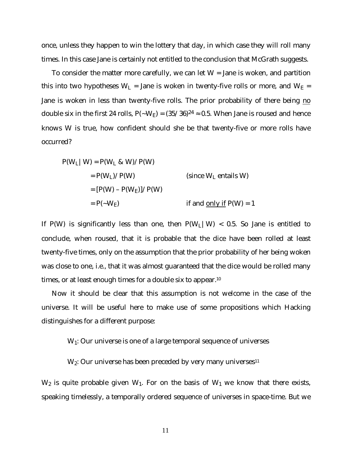once, unless they happen to win the lottery that day, in which case they will roll many times. In this case Jane is certainly not entitled to the conclusion that McGrath suggests.

To consider the matter more carefully, we can let  $W =$  Jane is woken, and partition this into two hypotheses  $W_L$  = Jane is woken in twenty-five rolls or more, and  $W_E$  = Jane is woken in less than twenty-five rolls. The prior probability of there being no double six in the first 24 rolls,  $P(\sim W_F) = (35/36)^{24} \approx 0.5$ . When Jane is roused and hence knows W is true, how confident should she be that twenty-five or more rolls have occurred?

$$
P(W_L | W) = P(W_L & W) / P(W)
$$
\n
$$
= P(W_L) / P(W) \qquad \text{(since } W_L \text{ entails } W)
$$
\n
$$
= [P(W) - P(W_E)] / P(W)
$$
\n
$$
= P(\sim W_E) \qquad \text{if and } \underline{\text{only if }} P(W) = 1
$$

If P(W) is significantly less than one, then  $P(W_L|W) < 0.5$ . So Jane is entitled to conclude, when roused, that it is probable that the dice have been rolled at least twenty-five times, only on the assumption that the prior probability of her being woken was close to one, i.e., that it was almost guaranteed that the dice would be rolled many times, or at least enough times for a double six to appear.<sup>10</sup>

Now it should be clear that this assumption is not welcome in the case of the universe. It will be useful here to make use of some propositions which Hacking distinguishes for a different purpose:

W<sub>1</sub>: Our universe is one of a large temporal sequence of universes

 $W_2$ : Our universe has been preceded by very many universes<sup>11</sup>

 $W_2$  is quite probable given  $W_1$ . For on the basis of  $W_1$  we know that there exists, speaking timelessly, a temporally ordered sequence of universes in space-time. But we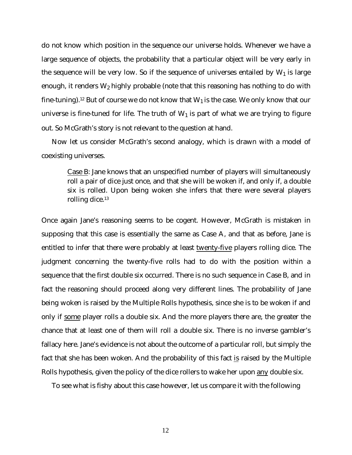do not know which position in the sequence our universe holds. Whenever we have a large sequence of objects, the probability that a particular object will be very early in the sequence will be very low. So if the sequence of universes entailed by  $W_1$  is large enough, it renders  $W_2$  highly probable (note that this reasoning has nothing to do with fine-tuning).<sup>12</sup> But of course we do not know that  $W_1$  is the case. We only know that our universe is fine-tuned for life. The truth of  $W_1$  is part of what we are trying to figure out. So McGrath's story is not relevant to the question at hand.

Now let us consider McGrath's second analogy, which is drawn with a model of coexisting universes.

Case B: Jane knows that an unspecified number of players will simultaneously roll a pair of dice just once, and that she will be woken if, and only if, a double six is rolled. Upon being woken she infers that there were several players rolling dice.<sup>13</sup>

Once again Jane's reasoning seems to be cogent. However, McGrath is mistaken in supposing that this case is essentially the same as Case A, and that as before, Jane is entitled to infer that there were probably at least twenty-five players rolling dice. The judgment concerning the twenty-five rolls had to do with the position within a sequence that the first double six occurred. There is no such sequence in Case B, and in fact the reasoning should proceed along very different lines. The probability of Jane being woken is raised by the Multiple Rolls hypothesis, since she is to be woken if and only if some player rolls a double six. And the more players there are, the greater the chance that at least one of them will roll a double six. There is no inverse gambler's fallacy here. Jane's evidence is not about the outcome of a particular roll, but simply the fact that she has been woken. And the probability of this fact is raised by the Multiple Rolls hypothesis, given the policy of the dice rollers to wake her upon any double six.

To see what is fishy about this case however, let us compare it with the following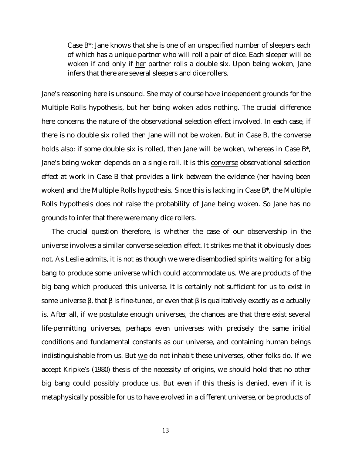Case B\*: Jane knows that she is one of an unspecified number of sleepers each of which has a unique partner who will roll a pair of dice. Each sleeper will be woken if and only if her partner rolls a double six. Upon being woken, Jane infers that there are several sleepers and dice rollers.

Jane's reasoning here is unsound. She may of course have independent grounds for the Multiple Rolls hypothesis, but her being woken adds nothing. The crucial difference here concerns the nature of the observational selection effect involved. In each case, if there is no double six rolled then Jane will not be woken. But in Case B, the converse holds also: if some double six is rolled, then Jane will be woken, whereas in Case B<sup>\*</sup>, Jane's being woken depends on a single roll. It is this converse observational selection effect at work in Case B that provides a link between the evidence (her having been woken) and the Multiple Rolls hypothesis. Since this is lacking in Case B\*, the Multiple Rolls hypothesis does not raise the probability of Jane being woken. So Jane has no grounds to infer that there were many dice rollers.

The crucial question therefore, is whether the case of our observership in the universe involves a similar converse selection effect. It strikes me that it obviously does not. As Leslie admits, it is not as though we were disembodied spirits waiting for a big bang to produce some universe which could accommodate us. We are products of the big bang which produced this universe. It is certainly not sufficient for us to exist in some universe β, that β is fine-tuned, or even that β is qualitatively exactly as  $\alpha$  actually is. After all, if we postulate enough universes, the chances are that there exist several life-permitting universes, perhaps even universes with precisely the same initial conditions and fundamental constants as our universe, and containing human beings indistinguishable from us. But we do not inhabit these universes, other folks do. If we accept Kripke's (1980) thesis of the necessity of origins, we should hold that no other big bang could possibly produce us. But even if this thesis is denied, even if it is metaphysically possible for us to have evolved in a different universe, or be products of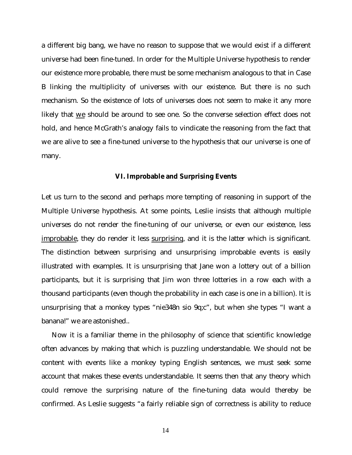a different big bang, we have no reason to suppose that we would exist if a different universe had been fine-tuned. In order for the Multiple Universe hypothesis to render our existence more probable, there must be some mechanism analogous to that in Case B linking the multiplicity of universes with our existence. But there is no such mechanism. So the existence of lots of universes does not seem to make it any more likely that we should be around to see one. So the converse selection effect does not hold, and hence McGrath's analogy fails to vindicate the reasoning from the fact that we are alive to see a fine-tuned universe to the hypothesis that our universe is one of many.

#### **VI. Improbable and Surprising Events**

Let us turn to the second and perhaps more tempting of reasoning in support of the Multiple Universe hypothesis. At some points, Leslie insists that although multiple universes do not render the fine-tuning of our universe, or even our existence, less improbable, they do render it less surprising, and it is the latter which is significant. The distinction between surprising and unsurprising improbable events is easily illustrated with examples. It is unsurprising that Jane won a lottery out of a billion participants, but it is surprising that Jim won three lotteries in a row each with a thousand participants (even though the probability in each case is one in a billion). It is unsurprising that a monkey types "nie348n sio 9q;c", but when she types "I want a banana!" we are astonished..

Now it is a familiar theme in the philosophy of science that scientific knowledge often advances by making that which is puzzling understandable. We should not be content with events like a monkey typing English sentences, we must seek some account that makes these events understandable. It seems then that any theory which could remove the surprising nature of the fine-tuning data would thereby be confirmed. As Leslie suggests "a fairly reliable sign of correctness is ability to reduce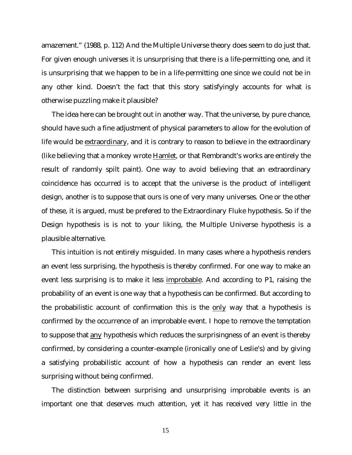amazement." (1988, p. 112) And the Multiple Universe theory does seem to do just that. For given enough universes it is unsurprising that there is a life-permitting one, and it is unsurprising that we happen to be in a life-permitting one since we could not be in any other kind. Doesn't the fact that this story satisfyingly accounts for what is otherwise puzzling make it plausible?

The idea here can be brought out in another way. That the universe, by pure chance, should have such a fine adjustment of physical parameters to allow for the evolution of life would be extraordinary, and it is contrary to reason to believe in the extraordinary (like believing that a monkey wrote Hamlet, or that Rembrandt's works are entirely the result of randomly spilt paint). One way to avoid believing that an extraordinary coincidence has occurred is to accept that the universe is the product of intelligent design, another is to suppose that ours is one of very many universes. One or the other of these, it is argued, must be prefered to the Extraordinary Fluke hypothesis. So if the Design hypothesis is is not to your liking, the Multiple Universe hypothesis is a plausible alternative.

This intuition is not entirely misguided. In many cases where a hypothesis renders an event less surprising, the hypothesis is thereby confirmed. For one way to make an event less surprising is to make it less improbable. And according to P1, raising the probability of an event is one way that a hypothesis can be confirmed. But according to the probabilistic account of confirmation this is the only way that a hypothesis is confirmed by the occurrence of an improbable event. I hope to remove the temptation to suppose that any hypothesis which reduces the surprisingness of an event is thereby confirmed, by considering a counter-example (ironically one of Leslie's) and by giving a satisfying probabilistic account of how a hypothesis can render an event less surprising without being confirmed.

The distinction between surprising and unsurprising improbable events is an important one that deserves much attention, yet it has received very little in the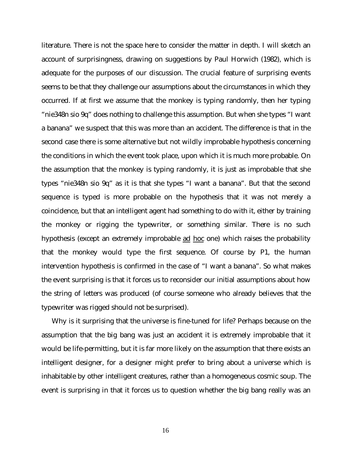literature. There is not the space here to consider the matter in depth. I will sketch an account of surprisingness, drawing on suggestions by Paul Horwich (1982), which is adequate for the purposes of our discussion. The crucial feature of surprising events seems to be that they challenge our assumptions about the circumstances in which they occurred. If at first we assume that the monkey is typing randomly, then her typing "nie348n sio 9q" does nothing to challenge this assumption. But when she types "I want a banana" we suspect that this was more than an accident. The difference is that in the second case there is some alternative but not wildly improbable hypothesis concerning the conditions in which the event took place, upon which it is much more probable. On the assumption that the monkey is typing randomly, it is just as improbable that she types "nie348n sio 9q" as it is that she types "I want a banana". But that the second sequence is typed is more probable on the hypothesis that it was not merely a coincidence, but that an intelligent agent had something to do with it, either by training the monkey or rigging the typewriter, or something similar. There is no such hypothesis (except an extremely improbable ad hoc one) which raises the probability that the monkey would type the first sequence. Of course by P1, the human intervention hypothesis is confirmed in the case of "I want a banana". So what makes the event surprising is that it forces us to reconsider our initial assumptions about how the string of letters was produced (of course someone who already believes that the typewriter was rigged should not be surprised).

Why is it surprising that the universe is fine-tuned for life? Perhaps because on the assumption that the big bang was just an accident it is extremely improbable that it would be life-permitting, but it is far more likely on the assumption that there exists an intelligent designer, for a designer might prefer to bring about a universe which is inhabitable by other intelligent creatures, rather than a homogeneous cosmic soup. The event is surprising in that it forces us to question whether the big bang really was an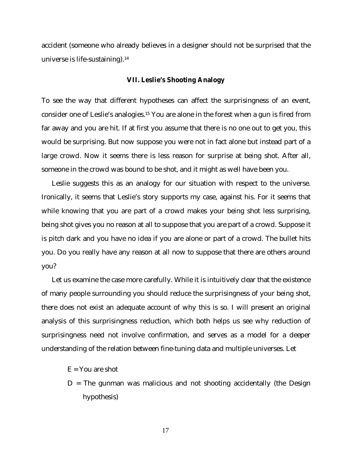accident (someone who already believes in a designer should not be surprised that the universe is life-sustaining).<sup>14</sup>

#### **VII. Leslie's Shooting Analogy**

To see the way that different hypotheses can affect the surprisingness of an event, consider one of Leslie's analogies.15 You are alone in the forest when a gun is fired from far away and you are hit. If at first you assume that there is no one out to get you, this would be surprising. But now suppose you were not in fact alone but instead part of a large crowd. Now it seems there is less reason for surprise at being shot. After all, someone in the crowd was bound to be shot, and it might as well have been you.

Leslie suggests this as an analogy for our situation with respect to the universe. Ironically, it seems that Leslie's story supports my case, against his. For it seems that while knowing that you are part of a crowd makes your being shot less surprising, being shot gives you no reason at all to suppose that you are part of a crowd. Suppose it is pitch dark and you have no idea if you are alone or part of a crowd. The bullet hits you. Do you really have any reason at all now to suppose that there are others around you?

Let us examine the case more carefully. While it is intuitively clear that the existence of many people surrounding you should reduce the surprisingness of your being shot, there does not exist an adequate account of why this is so. I will present an original analysis of this surprisingness reduction, which both helps us see why reduction of surprisingness need not involve confirmation, and serves as a model for a deeper understanding of the relation between fine-tuning data and multiple universes. Let

- $E = You$  are shot
- $D =$ The gunman was malicious and not shooting accidentally (the Design hypothesis)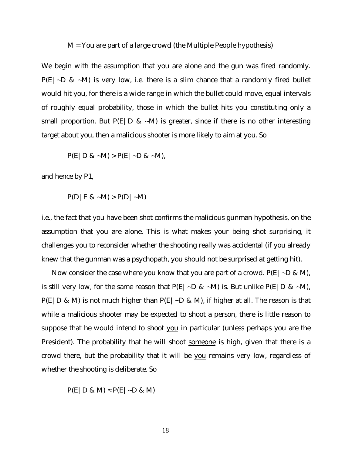#### M = You are part of a large crowd (the Multiple People hypothesis)

We begin with the assumption that you are alone and the gun was fired randomly.  $P(E|\sim D \& \sim M)$  is very low, i.e. there is a slim chance that a randomly fired bullet would hit you, for there is a wide range in which the bullet could move, equal intervals of roughly equal probability, those in which the bullet hits you constituting only a small proportion. But  $P(E|D \& \sim M)$  is greater, since if there is no other interesting target about you, then a malicious shooter is more likely to aim at you. So

$$
P(E | D < -M) > P(E | -D < -M),
$$

and hence by P1,

 $P(D | E & \sim M) > P(D | \sim M)$ 

i.e., the fact that you have been shot confirms the malicious gunman hypothesis, on the assumption that you are alone. This is what makes your being shot surprising, it challenges you to reconsider whether the shooting really was accidental (if you already knew that the gunman was a psychopath, you should not be surprised at getting hit).

Now consider the case where you know that you are part of a crowd.  $P(E|\sim D \& M)$ , is still very low, for the same reason that  $P(E|\sim D \& \sim M)$  is. But unlike  $P(E|D \& \sim M)$ ,  $P(E|D \& M)$  is not much higher than  $P(E|\sim D \& M)$ , if higher at all. The reason is that while a malicious shooter may be expected to shoot a person, there is little reason to suppose that he would intend to shoot you in particular (unless perhaps you are the President). The probability that he will shoot someone is high, given that there is a crowd there, but the probability that it will be you remains very low, regardless of whether the shooting is deliberate. So

$$
P(E | D & M) \approx P(E | \sim D & M)
$$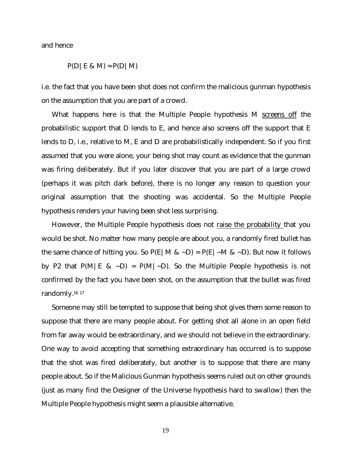and hence

$$
P(D | E & M) \approx P(D | M)
$$

i.e. the fact that you have been shot does not confirm the malicious gunman hypothesis on the assumption that you are part of a crowd.

What happens here is that the Multiple People hypothesis M screens off the probabilistic support that D lends to E, and hence also screens off the support that E lends to D, i.e., relative to M, E and D are probabilistically independent. So if you first assumed that you were alone, your being shot may count as evidence that the gunman was firing deliberately. But if you later discover that you are part of a large crowd (perhaps it was pitch dark before), there is no longer any reason to question your original assumption that the shooting was accidental. So the Multiple People hypothesis renders your having been shot less surprising.

However, the Multiple People hypothesis does not raise the probability that you would be shot. No matter how many people are about you, a randomly fired bullet has the same chance of hitting you. So  $P(E|M \& \sim D) = P(E|\sim M \& \sim D)$ . But now it follows by P2 that  $P(M|E \& \sim D) = P(M|\sim D)$ . So the Multiple People hypothesis is not confirmed by the fact you have been shot, on the assumption that the bullet was fired randomly.<sup>16</sup> <sup>17</sup>

Someone may still be tempted to suppose that being shot gives them some reason to suppose that there are many people about. For getting shot all alone in an open field from far away would be extraordinary, and we should not believe in the extraordinary. One way to avoid accepting that something extraordinary has occurred is to suppose that the shot was fired deliberately, but another is to suppose that there are many people about. So if the Malicious Gunman hypothesis seems ruled out on other grounds (just as many find the Designer of the Universe hypothesis hard to swallow) then the Multiple People hypothesis might seem a plausible alternative.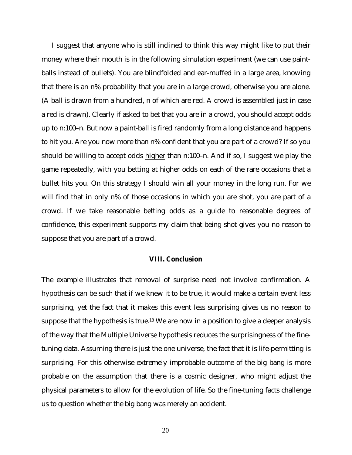I suggest that anyone who is still inclined to think this way might like to put their money where their mouth is in the following simulation experiment (we can use paintballs instead of bullets). You are blindfolded and ear-muffed in a large area, knowing that there is an n% probability that you are in a large crowd, otherwise you are alone. (A ball is drawn from a hundred, n of which are red. A crowd is assembled just in case a red is drawn). Clearly if asked to bet that you are in a crowd, you should accept odds up to n:100–n. But now a paint-ball is fired randomly from a long distance and happens to hit you. Are you now more than n% confident that you are part of a crowd? If so you should be willing to accept odds higher than n:100–n. And if so, I suggest we play the game repeatedly, with you betting at higher odds on each of the rare occasions that a bullet hits you. On this strategy I should win all your money in the long run. For we will find that in only n% of those occasions in which you are shot, you are part of a crowd. If we take reasonable betting odds as a guide to reasonable degrees of confidence, this experiment supports my claim that being shot gives you no reason to suppose that you are part of a crowd.

## **VIII. Conclusion**

The example illustrates that removal of surprise need not involve confirmation. A hypothesis can be such that if we knew it to be true, it would make a certain event less surprising, yet the fact that it makes this event less surprising gives us no reason to suppose that the hypothesis is true.<sup>18</sup> We are now in a position to give a deeper analysis of the way that the Multiple Universe hypothesis reduces the surprisingness of the finetuning data. Assuming there is just the one universe, the fact that it is life-permitting is surprising. For this otherwise extremely improbable outcome of the big bang is more probable on the assumption that there is a cosmic designer, who might adjust the physical parameters to allow for the evolution of life. So the fine-tuning facts challenge us to question whether the big bang was merely an accident.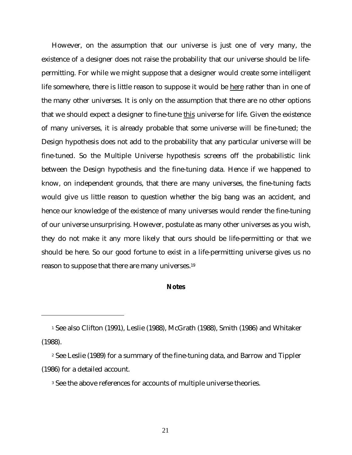However, on the assumption that our universe is just one of very many, the existence of a designer does not raise the probability that our universe should be lifepermitting. For while we might suppose that a designer would create some intelligent life somewhere, there is little reason to suppose it would be here rather than in one of the many other universes. It is only on the assumption that there are no other options that we should expect a designer to fine-tune this universe for life. Given the existence of many universes, it is already probable that some universe will be fine-tuned; the Design hypothesis does not add to the probability that any particular universe will be fine-tuned. So the Multiple Universe hypothesis screens off the probabilistic link between the Design hypothesis and the fine-tuning data. Hence if we happened to know, on independent grounds, that there are many universes, the fine-tuning facts would give us little reason to question whether the big bang was an accident, and hence our knowledge of the existence of many universes would render the fine-tuning of our universe unsurprising. However, postulate as many other universes as you wish, they do not make it any more likely that ours should be life-permitting or that we should be here. So our good fortune to exist in a life-permitting universe gives us no reason to suppose that there are many universes.<sup>19</sup>

#### **Notes**

<u>.</u>

<sup>1</sup> See also Clifton (1991), Leslie (1988), McGrath (1988), Smith (1986) and Whitaker (1988).

<sup>2</sup> See Leslie (1989) for a summary of the fine-tuning data, and Barrow and Tippler (1986) for a detailed account.

<sup>&</sup>lt;sup>3</sup> See the above references for accounts of multiple universe theories.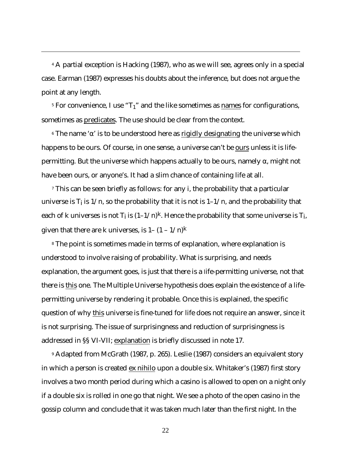<sup>4</sup> A partial exception is Hacking (1987), who as we will see, agrees only in a special case. Earman (1987) expresses his doubts about the inference, but does not argue the point at any length.

 $\overline{a}$ 

<sup>5</sup> For convenience, I use " $T_1$ " and the like sometimes as names for configurations, sometimes as predicates. The use should be clear from the context.

 $\delta$  The name 'α' is to be understood here as rigidly designating the universe which happens to be ours. Of course, in one sense, a universe can't be ours unless it is lifepermitting. But the universe which happens actually to be ours, namely α, might not have been ours, or anyone's. It had a slim chance of containing life at all.

<sup>7</sup> This can be seen briefly as follows: for any i, the probability that a particular universe is T<sub>i</sub> is 1/n, so the probability that it is not is 1–1/n, and the probability that each of k universes is not T<sub>i</sub> is  $(1-1/n)^k$ . Hence the probability that some universe is T<sub>i</sub>, given that there are k universes, is  $1 - (1 - 1/n)^k$ 

<sup>8</sup> The point is sometimes made in terms of explanation, where explanation is understood to involve raising of probability. What is surprising, and needs explanation, the argument goes, is just that there is a life-permitting universe, not that there is this one. The Multiple Universe hypothesis does explain the existence of a lifepermitting universe by rendering it probable. Once this is explained, the specific question of why this universe is fine-tuned for life does not require an answer, since it is not surprising. The issue of surprisingness and reduction of surprisingness is addressed in §§ VI-VII; explanation is briefly discussed in note 17.

<sup>9</sup> Adapted from McGrath (1987, p. 265). Leslie (1987) considers an equivalent story in which a person is created ex nihilo upon a double six. Whitaker's (1987) first story involves a two month period during which a casino is allowed to open on a night only if a double six is rolled in one go that night. We see a photo of the open casino in the gossip column and conclude that it was taken much later than the first night. In the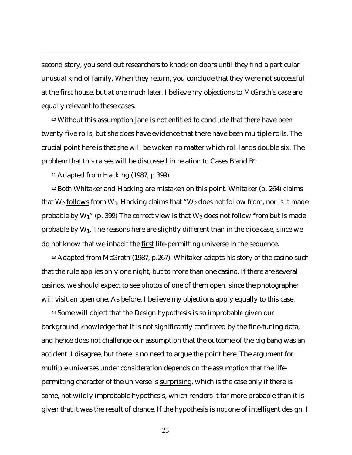second story, you send out researchers to knock on doors until they find a particular unusual kind of family. When they return, you conclude that they were not successful at the first house, but at one much later. I believe my objections to McGrath's case are equally relevant to these cases.

<sup>10</sup> Without this assumption Jane is not entitled to conclude that there have been twenty-five rolls, but she does have evidence that there have been multiple rolls. The crucial point here is that she will be woken no matter which roll lands double six. The problem that this raises will be discussed in relation to Cases B and B\*.

<sup>11</sup> Adapted from Hacking (1987, p.399)

 $\overline{a}$ 

<sup>12</sup> Both Whitaker and Hacking are mistaken on this point. Whitaker (p. 264) claims that  $W_2$  follows from  $W_1$ . Hacking claims that " $W_2$  does not follow from, nor is it made probable by W<sub>1</sub>" (p. 399) The correct view is that W<sub>2</sub> does not follow from but is made probable by  $W_1$ . The reasons here are slightly different than in the dice case, since we do not know that we inhabit the first life-permitting universe in the sequence.

<sup>13</sup> Adapted from McGrath (1987, p.267). Whitaker adapts his story of the casino such that the rule applies only one night, but to more than one casino. If there are several casinos, we should expect to see photos of one of them open, since the photographer will visit an open one. As before, I believe my objections apply equally to this case.

<sup>14</sup> Some will object that the Design hypothesis is so improbable given our background knowledge that it is not significantly confirmed by the fine-tuning data, and hence does not challenge our assumption that the outcome of the big bang was an accident. I disagree, but there is no need to argue the point here. The argument for multiple universes under consideration depends on the assumption that the lifepermitting character of the universe is surprising, which is the case only if there is some, not wildly improbable hypothesis, which renders it far more probable than it is given that it was the result of chance. If the hypothesis is not one of intelligent design, I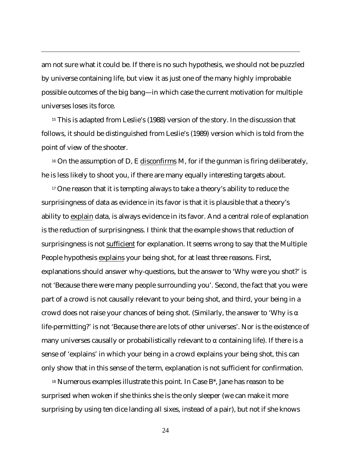am not sure what it could be. If there is no such hypothesis, we should not be puzzled by universe containing life, but view it as just one of the many highly improbable possible outcomes of the big bang—in which case the current motivation for multiple universes loses its force.

 $\overline{a}$ 

<sup>15</sup> This is adapted from Leslie's (1988) version of the story. In the discussion that follows, it should be distinguished from Leslie's (1989) version which is told from the point of view of the shooter.

<sup>16</sup> On the assumption of D, E disconfirms M, for if the gunman is firing deliberately, he is less likely to shoot you, if there are many equally interesting targets about.

<sup>17</sup> One reason that it is tempting always to take a theory's ability to reduce the surprisingness of data as evidence in its favor is that it is plausible that a theory's ability to explain data, is always evidence in its favor. And a central role of explanation is the reduction of surprisingness. I think that the example shows that reduction of surprisingness is not sufficient for explanation. It seems wrong to say that the Multiple People hypothesis explains your being shot, for at least three reasons. First, explanations should answer why-questions, but the answer to 'Why were you shot?' is not 'Because there were many people surrounding you'. Second, the fact that you were part of a crowd is not causally relevant to your being shot, and third, your being in a crowd does not raise your chances of being shot. (Similarly, the answer to 'Why is  $\alpha$ life-permitting?' is not 'Because there are lots of other universes'. Nor is the existence of many universes causally or probabilistically relevant to  $\alpha$  containing life). If there is a sense of 'explains' in which your being in a crowd explains your being shot, this can only show that in this sense of the term, explanation is not sufficient for confirmation.

 $18$  Numerous examples illustrate this point. In Case  $B^*$ , Jane has reason to be surprised when woken if she thinks she is the only sleeper (we can make it more surprising by using ten dice landing all sixes, instead of a pair), but not if she knows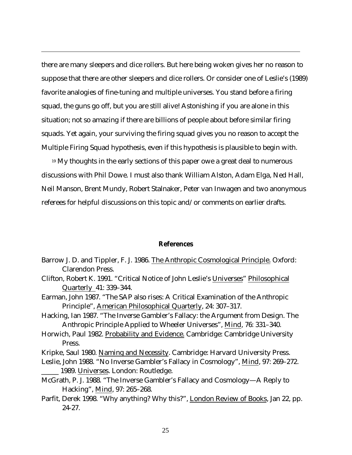there are many sleepers and dice rollers. But here being woken gives her no reason to suppose that there are other sleepers and dice rollers. Or consider one of Leslie's (1989) favorite analogies of fine-tuning and multiple universes. You stand before a firing squad, the guns go off, but you are still alive! Astonishing if you are alone in this situation; not so amazing if there are billions of people about before similar firing squads. Yet again, your surviving the firing squad gives you no reason to accept the Multiple Firing Squad hypothesis, even if this hypothesis is plausible to begin with.

 $\overline{a}$ 

<sup>19</sup> My thoughts in the early sections of this paper owe a great deal to numerous discussions with Phil Dowe. I must also thank William Alston, Adam Elga, Ned Hall, Neil Manson, Brent Mundy, Robert Stalnaker, Peter van Inwagen and two anonymous referees for helpful discussions on this topic and/or comments on earlier drafts.

## **References**

- Barrow J. D. and Tippler, F. J. 1986. The Anthropic Cosmological Principle. Oxford: Clarendon Press.
- Clifton, Robert K. 1991. "Critical Notice of John Leslie's Universes" Philosophical Quarterly 41: 339–344.
- Earman, John 1987. "The SAP also rises: A Critical Examination of the Anthropic Principle", American Philosophical Quarterly, 24: 307–317.
- Hacking, Ian 1987. "The Inverse Gambler's Fallacy: the Argument from Design. The Anthropic Principle Applied to Wheeler Universes", Mind, 76: 331–340.
- Horwich, Paul 1982. Probability and Evidence. Cambridge: Cambridge University Press.
- Kripke, Saul 1980. Naming and Necessity. Cambridge: Harvard University Press.
- Leslie, John 1988. "No Inverse Gambler's Fallacy in Cosmology", Mind, 97: 269–272. \_\_\_\_\_ 1989. Universes. London: Routledge.
- McGrath, P. J. 1988. "The Inverse Gambler's Fallacy and Cosmology—A Reply to Hacking", Mind, 97: 265–268.
- Parfit, Derek 1998. "Why anything? Why this?", London Review of Books, Jan 22, pp. 24-27.